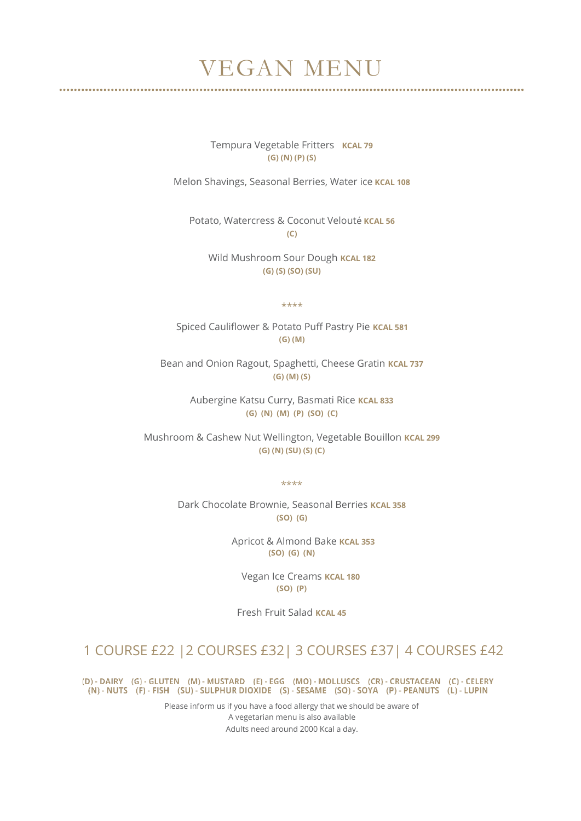## VEGAN MENU

Tempura Vegetable Fritters **KCAL 79 (G) (N) (P) (S)**

Melon Shavings, Seasonal Berries, Water ice **KCAL 108**

Potato, Watercress & Coconut Velouté **KCAL 56 (C)**

Wild Mushroom Sour Dough **KCAL 182 (G) (S) (SO) (SU)**

\*\*\*\*

Spiced Cauliflower & Potato Puff Pastry Pie **KCAL 581 (G) (M)**

Bean and Onion Ragout, Spaghetti, Cheese Gratin **KCAL 737 (G) (M) (S)**

> Aubergine Katsu Curry, Basmati Rice **KCAL 833 (G) (N) (M) (P) (SO) (C)**

Mushroom & Cashew Nut Wellington, Vegetable Bouillon **KCAL 299 (G) (N) (SU) (S) (C)**

\*\*\*\*

Dark Chocolate Brownie, Seasonal Berries **KCAL 358 (SO) (G)**

> Apricot & Almond Bake **KCAL 353 (SO) (G) (N)**

 Vegan Ice Creams **KCAL 180 (SO) (P)**

Fresh Fruit Salad **KCAL 45**

## 1 COURSE £22 |2 COURSES £32| 3 COURSES £37| 4 COURSES £42

(D) - DAIRY (G) - GLUTEN (M) - MUSTARD (E) - EGG (MO) - MOLLUSCS (CR) - CRUSTACEAN (C) - CELERY (N) - NUTS (F) - FISH (SU) - SULPHUR DIOXIDE (S) - SESAME (SO) - SOYA (P) - PEANUTS (L) - LUPIN

> Please inform us if you have a food allergy that we should be aware of A vegetarian menu is also available Adults need around 2000 Kcal a day.